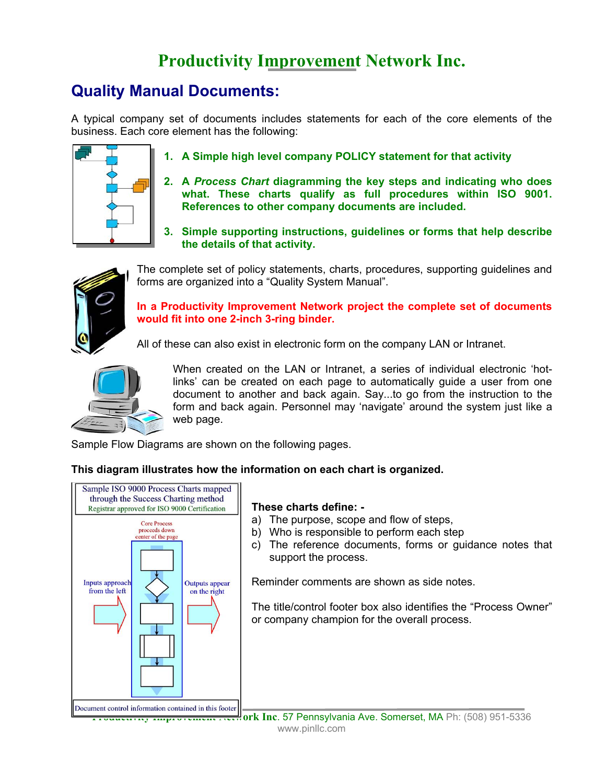## **Productivity Improvement Network Inc.**

## **Quality Manual Documents:**

A typical company set of documents includes statements for each of the core elements of the business. Each core element has the following:



- **1. A Simple high level company POLICY statement for that activity**
- **2. A** *Process Chart* **diagramming the key steps and indicating who does what. These charts qualify as full procedures within ISO 9001. References to other company documents are included.**
- **3. Simple supporting instructions, guidelines or forms that help describe the details of that activity.**



The complete set of policy statements, charts, procedures, supporting guidelines and forms are organized into a "Quality System Manual".

**In a Productivity Improvement Network project the complete set of documents would fit into one 2-inch 3-ring binder.** 

All of these can also exist in electronic form on the company LAN or Intranet.



When created on the LAN or Intranet, a series of individual electronic 'hotlinks' can be created on each page to automatically guide a user from one document to another and back again. Say...to go from the instruction to the form and back again. Personnel may 'navigate' around the system just like a web page.

Sample Flow Diagrams are shown on the following pages.

**This diagram illustrates how the information on each chart is organized.** 



## **These charts define: -**

- a) The purpose, scope and flow of steps,
- b) Who is responsible to perform each step
- c) The reference documents, forms or guidance notes that support the process.

Reminder comments are shown as side notes.

The title/control footer box also identifies the "Process Owner" or company champion for the overall process.

**Productivity Improvement Itell ork Inc. 57 Pennsylvania Ave. Somerset, MA Ph: (508) 951-5336** www.pinllc.com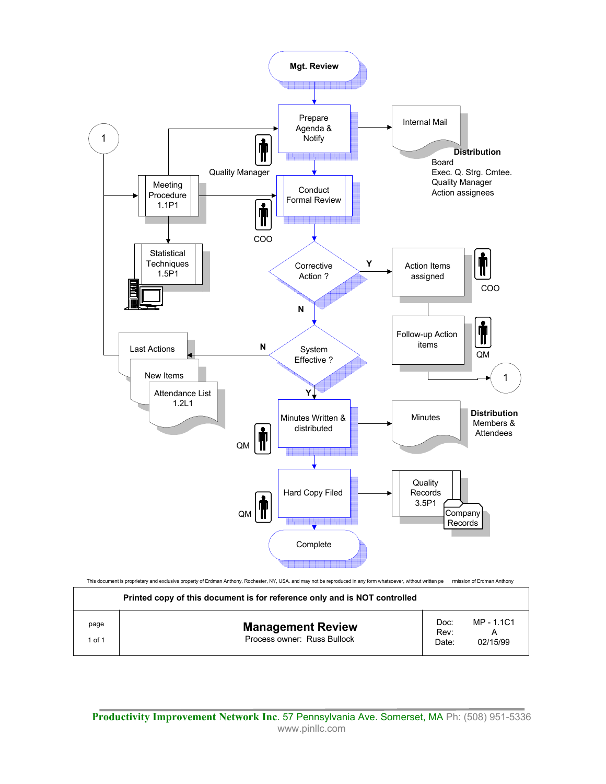

**Productivity Improvement Network Inc**. 57 Pennsylvania Ave. Somerset, MA Ph: (508) 951-5336 www.pinllc.com